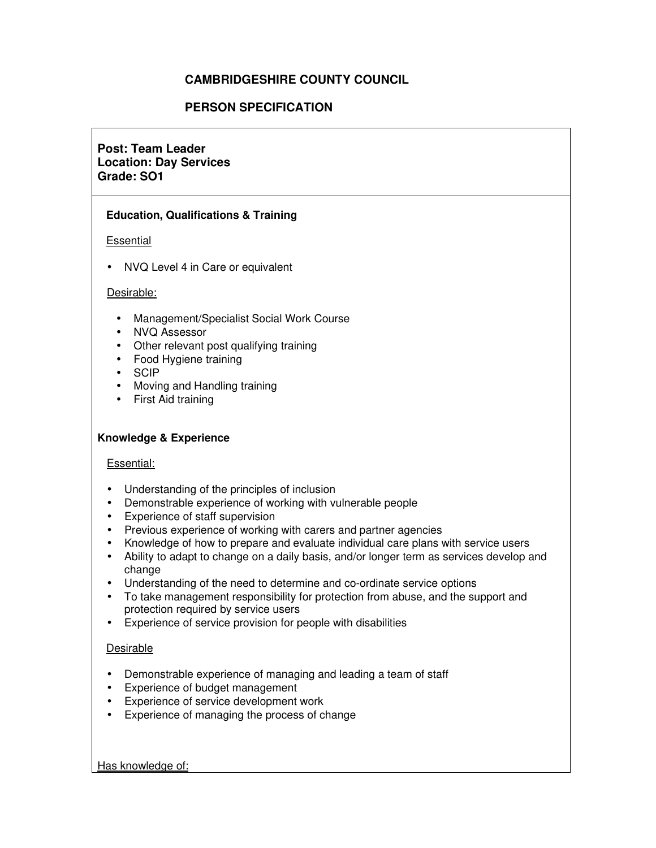# **CAMBRIDGESHIRE COUNTY COUNCIL**

## **PERSON SPECIFICATION**

# **Post: Team Leader Location: Day Services Grade: SO1**

### **Education, Qualifications & Training**

### Essential

• NVQ Level 4 in Care or equivalent

### Desirable:

- Management/Specialist Social Work Course
- NVQ Assessor
- Other relevant post qualifying training
- Food Hygiene training
- SCIP
- Moving and Handling training
- First Aid training

### **Knowledge & Experience**

### Essential:

- Understanding of the principles of inclusion
- Demonstrable experience of working with vulnerable people
- Experience of staff supervision
- Previous experience of working with carers and partner agencies
- Knowledge of how to prepare and evaluate individual care plans with service users
- Ability to adapt to change on a daily basis, and/or longer term as services develop and change
- Understanding of the need to determine and co-ordinate service options
- To take management responsibility for protection from abuse, and the support and protection required by service users
- Experience of service provision for people with disabilities

## Desirable

- Demonstrable experience of managing and leading a team of staff
- Experience of budget management
- Experience of service development work
- Experience of managing the process of change

Has knowledge of: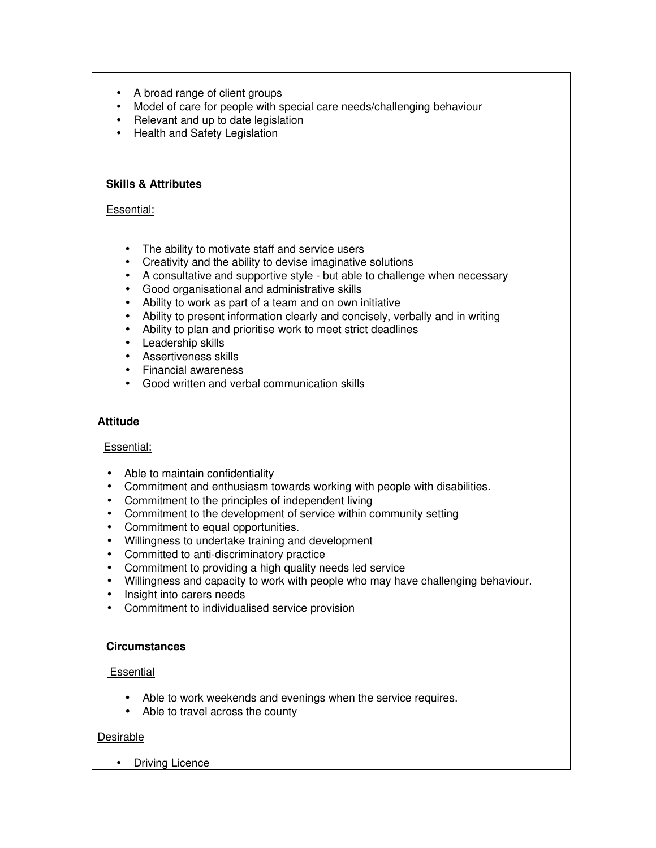- A broad range of client groups
- Model of care for people with special care needs/challenging behaviour
- Relevant and up to date legislation
- Health and Safety Legislation

### **Skills & Attributes**

### Essential:

- The ability to motivate staff and service users
- Creativity and the ability to devise imaginative solutions
- A consultative and supportive style but able to challenge when necessary
- Good organisational and administrative skills
- Ability to work as part of a team and on own initiative
- Ability to present information clearly and concisely, verbally and in writing
- Ability to plan and prioritise work to meet strict deadlines
- Leadership skills
- Assertiveness skills
- Financial awareness
- Good written and verbal communication skills

### **Attitude**

## Essential:

- Able to maintain confidentiality
- Commitment and enthusiasm towards working with people with disabilities.
- Commitment to the principles of independent living
- Commitment to the development of service within community setting
- Commitment to equal opportunities.
- Willingness to undertake training and development
- Committed to anti-discriminatory practice
- Commitment to providing a high quality needs led service
- Willingness and capacity to work with people who may have challenging behaviour.
- Insight into carers needs
- Commitment to individualised service provision

### **Circumstances**

### Essential

- Able to work weekends and evenings when the service requires.
- Able to travel across the county

### Desirable

• Driving Licence